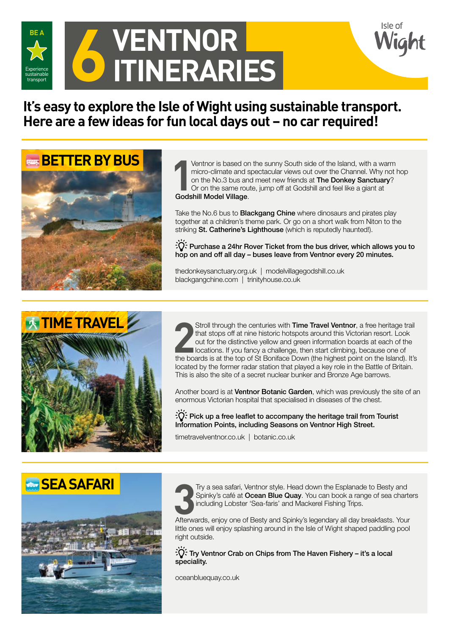

# **6 VENTNOR<br>• ITINERARI ITINERARIES**

### **It's easy to explore the Isle of Wight using sustainable transport. Here are a few ideas for fun local days out – no car required!**



Ventnor is based on<br>
micro-climate and s<br>
on the No.3 bus and<br>
Or on the same rout<br> **Godshill Model Village**. Ventnor is based on the sunny South side of the Island, with a warm micro-climate and spectacular views out over the Channel. Why not hop on the No.3 bus and meet new friends at The Donkey Sanctuary? Or on the same route, jump off at Godshill and feel like a giant at

Take the No.6 bus to **Blackgang Chine** where dinosaurs and pirates play together at a children's theme park. Or go on a short walk from Niton to the striking St. Catherine's Lighthouse (which is reputedly haunted!).

 $\overrightarrow{C}$ : Purchase a 24hr Rover Ticket from the bus driver, which allows you to hop on and off all day – buses leave from Ventnor every 20 minutes.

thedonkeysanctuary.org.uk | modelvillagegodshill.co.uk blackgangchine.com | trinityhouse.co.uk



Stroll through the centuries with **Time Travel Ventnor**, a free heritage trail that stops off at nine historic hotspots around this Victorian resort. Look out for the distinctive yellow and green information boards at each Stroll through the centuries with Time Travel Ventnor, a free heritage trail that stops off at nine historic hotspots around this Victorian resort. Look out for the distinctive yellow and green information boards at each of the locations. If you fancy a challenge, then start climbing, because one of located by the former radar station that played a key role in the Battle of Britain. This is also the site of a secret nuclear bunker and Bronze Age barrows.

Another board is at Ventnor Botanic Garden, which was previously the site of an enormous Victorian hospital that specialised in diseases of the chest.

 $\tilde{P}(\tilde{C})$ : Pick up a free leaflet to accompany the heritage trail from Tourist Information Points, including Seasons on Ventnor High Street.

timetravelventnor.co.uk | botanic.co.uk

#### **SEA SAFARI**





Try a sea safari, Ventnor style. Head down the Esplanade to Besty and Spinky's café at **Ocean Blue Quay**. You can book a range of sea charted including Lobster 'Sea-faris' and Mackerel Fishing Trips.<br>Afterwards, enjoy one Try a sea safari, Ventnor style. Head down the Esplanade to Besty and Spinky's café at Ocean Blue Quay. You can book a range of sea charters including Lobster 'Sea-faris' and Mackerel Fishing Trips.

little ones will enjoy splashing around in the Isle of Wight shaped paddling pool right outside.

 $\overrightarrow{C}$ : Try Ventnor Crab on Chips from The Haven Fishery – it's a local speciality.

oceanbluequay.co.uk